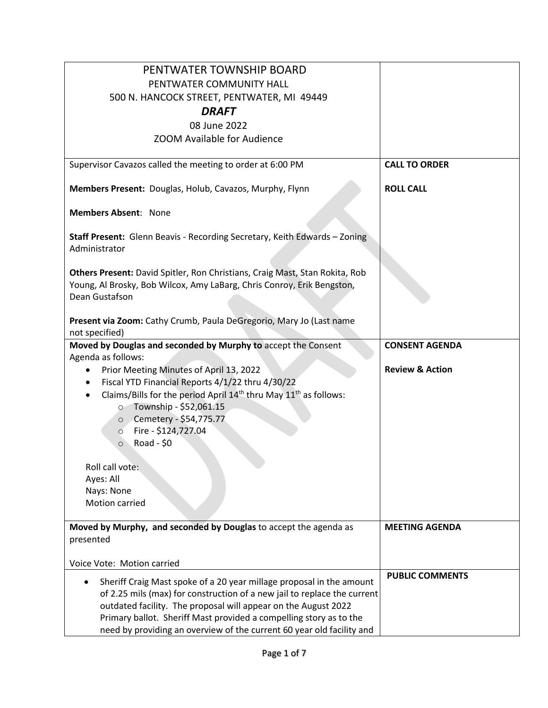| PENTWATER TOWNSHIP BOARD                                                                                                                                                |                            |
|-------------------------------------------------------------------------------------------------------------------------------------------------------------------------|----------------------------|
| PENTWATER COMMUNITY HALL                                                                                                                                                |                            |
| 500 N. HANCOCK STREET, PENTWATER, MI 49449                                                                                                                              |                            |
| <b>DRAFT</b>                                                                                                                                                            |                            |
| 08 June 2022                                                                                                                                                            |                            |
| ZOOM Available for Audience                                                                                                                                             |                            |
| Supervisor Cavazos called the meeting to order at 6:00 PM                                                                                                               | <b>CALL TO ORDER</b>       |
| Members Present: Douglas, Holub, Cavazos, Murphy, Flynn                                                                                                                 | <b>ROLL CALL</b>           |
| <b>Members Absent: None</b>                                                                                                                                             |                            |
| Staff Present: Glenn Beavis - Recording Secretary, Keith Edwards - Zoning<br>Administrator                                                                              |                            |
| Others Present: David Spitler, Ron Christians, Craig Mast, Stan Rokita, Rob<br>Young, Al Brosky, Bob Wilcox, Amy LaBarg, Chris Conroy, Erik Bengston,<br>Dean Gustafson |                            |
| Present via Zoom: Cathy Crumb, Paula DeGregorio, Mary Jo (Last name<br>not specified)                                                                                   |                            |
| Moved by Douglas and seconded by Murphy to accept the Consent                                                                                                           | <b>CONSENT AGENDA</b>      |
| Agenda as follows:<br>Prior Meeting Minutes of April 13, 2022<br>$\bullet$                                                                                              | <b>Review &amp; Action</b> |
| Fiscal YTD Financial Reports 4/1/22 thru 4/30/22                                                                                                                        |                            |
| Claims/Bills for the period April $14th$ thru May $11th$ as follows:                                                                                                    |                            |
| O Township - \$52,061.15                                                                                                                                                |                            |
| ○ Cemetery - \$54,775.77                                                                                                                                                |                            |
| Fire - \$124,727.04<br>$\circ$                                                                                                                                          |                            |
| Road - $$0$<br>$\circ$                                                                                                                                                  |                            |
| Roll call vote:                                                                                                                                                         |                            |
| Ayes: All                                                                                                                                                               |                            |
| Nays: None                                                                                                                                                              |                            |
| Motion carried                                                                                                                                                          |                            |
| Moved by Murphy, and seconded by Douglas to accept the agenda as                                                                                                        | <b>MEETING AGENDA</b>      |
| presented                                                                                                                                                               |                            |
| Voice Vote: Motion carried                                                                                                                                              |                            |
| Sheriff Craig Mast spoke of a 20 year millage proposal in the amount                                                                                                    | <b>PUBLIC COMMENTS</b>     |
| of 2.25 mils (max) for construction of a new jail to replace the current                                                                                                |                            |
| outdated facility. The proposal will appear on the August 2022                                                                                                          |                            |
| Primary ballot. Sheriff Mast provided a compelling story as to the                                                                                                      |                            |
| need by providing an overview of the current 60 year old facility and                                                                                                   |                            |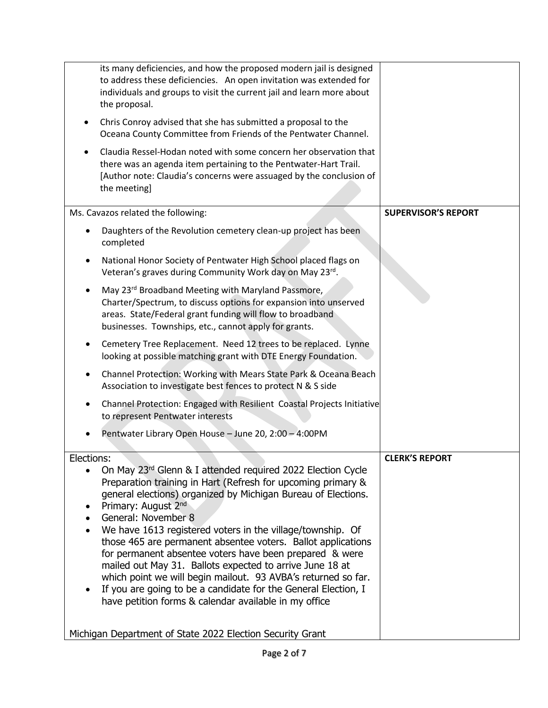| its many deficiencies, and how the proposed modern jail is designed<br>to address these deficiencies. An open invitation was extended for<br>individuals and groups to visit the current jail and learn more about<br>the proposal.                                                                                                                                                                                                           |                            |
|-----------------------------------------------------------------------------------------------------------------------------------------------------------------------------------------------------------------------------------------------------------------------------------------------------------------------------------------------------------------------------------------------------------------------------------------------|----------------------------|
| Chris Conroy advised that she has submitted a proposal to the<br>Oceana County Committee from Friends of the Pentwater Channel.                                                                                                                                                                                                                                                                                                               |                            |
| Claudia Ressel-Hodan noted with some concern her observation that<br>there was an agenda item pertaining to the Pentwater-Hart Trail.<br>[Author note: Claudia's concerns were assuaged by the conclusion of<br>the meeting]                                                                                                                                                                                                                  |                            |
| Ms. Cavazos related the following:                                                                                                                                                                                                                                                                                                                                                                                                            | <b>SUPERVISOR'S REPORT</b> |
| Daughters of the Revolution cemetery clean-up project has been<br>completed                                                                                                                                                                                                                                                                                                                                                                   |                            |
| National Honor Society of Pentwater High School placed flags on<br>Veteran's graves during Community Work day on May 23rd.                                                                                                                                                                                                                                                                                                                    |                            |
| May 23rd Broadband Meeting with Maryland Passmore,<br>Charter/Spectrum, to discuss options for expansion into unserved<br>areas. State/Federal grant funding will flow to broadband<br>businesses. Townships, etc., cannot apply for grants.                                                                                                                                                                                                  |                            |
| Cemetery Tree Replacement. Need 12 trees to be replaced. Lynne<br>looking at possible matching grant with DTE Energy Foundation.                                                                                                                                                                                                                                                                                                              |                            |
| Channel Protection: Working with Mears State Park & Oceana Beach<br>Association to investigate best fences to protect N & S side                                                                                                                                                                                                                                                                                                              |                            |
| Channel Protection: Engaged with Resilient Coastal Projects Initiative<br>to represent Pentwater interests                                                                                                                                                                                                                                                                                                                                    |                            |
| Pentwater Library Open House - June 20, 2:00 - 4:00PM                                                                                                                                                                                                                                                                                                                                                                                         |                            |
| Elections:                                                                                                                                                                                                                                                                                                                                                                                                                                    | <b>CLERK'S REPORT</b>      |
| On May 23rd Glenn & I attended required 2022 Election Cycle<br>Preparation training in Hart (Refresh for upcoming primary &<br>general elections) organized by Michigan Bureau of Elections.<br>Primary: August 2nd<br>General: November 8                                                                                                                                                                                                    |                            |
| We have 1613 registered voters in the village/township. Of<br>those 465 are permanent absentee voters. Ballot applications<br>for permanent absentee voters have been prepared & were<br>mailed out May 31. Ballots expected to arrive June 18 at<br>which point we will begin mailout. 93 AVBA's returned so far.<br>If you are going to be a candidate for the General Election, I<br>have petition forms & calendar available in my office |                            |
| Michigan Department of State 2022 Election Security Grant                                                                                                                                                                                                                                                                                                                                                                                     |                            |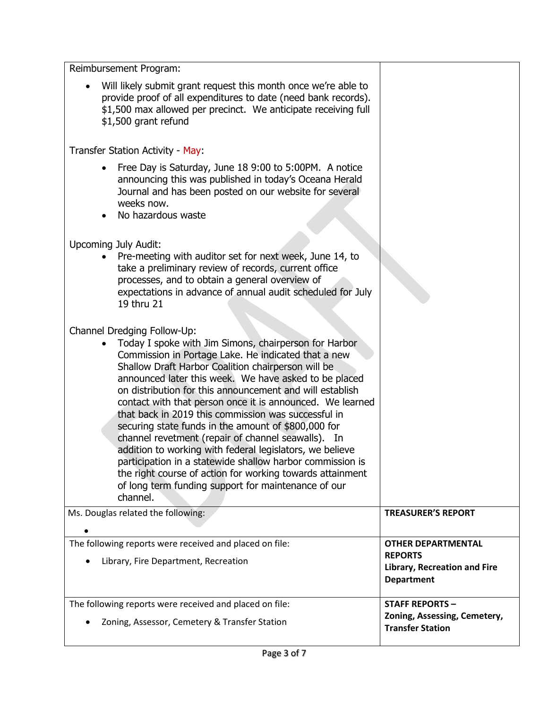| Reimbursement Program:                                                                                                                                                                                                                                                                                                                                                                                                                                                                                                                                                                                                                                                                                                                                                                                           |                                                                                                         |
|------------------------------------------------------------------------------------------------------------------------------------------------------------------------------------------------------------------------------------------------------------------------------------------------------------------------------------------------------------------------------------------------------------------------------------------------------------------------------------------------------------------------------------------------------------------------------------------------------------------------------------------------------------------------------------------------------------------------------------------------------------------------------------------------------------------|---------------------------------------------------------------------------------------------------------|
| Will likely submit grant request this month once we're able to<br>provide proof of all expenditures to date (need bank records).<br>\$1,500 max allowed per precinct. We anticipate receiving full<br>\$1,500 grant refund                                                                                                                                                                                                                                                                                                                                                                                                                                                                                                                                                                                       |                                                                                                         |
| Transfer Station Activity - May:                                                                                                                                                                                                                                                                                                                                                                                                                                                                                                                                                                                                                                                                                                                                                                                 |                                                                                                         |
| Free Day is Saturday, June 18 9:00 to 5:00PM. A notice<br>announcing this was published in today's Oceana Herald<br>Journal and has been posted on our website for several<br>weeks now.<br>No hazardous waste                                                                                                                                                                                                                                                                                                                                                                                                                                                                                                                                                                                                   |                                                                                                         |
| <b>Upcoming July Audit:</b><br>Pre-meeting with auditor set for next week, June 14, to<br>take a preliminary review of records, current office<br>processes, and to obtain a general overview of<br>expectations in advance of annual audit scheduled for July<br>19 thru 21                                                                                                                                                                                                                                                                                                                                                                                                                                                                                                                                     |                                                                                                         |
| Channel Dredging Follow-Up:<br>Today I spoke with Jim Simons, chairperson for Harbor<br>Commission in Portage Lake. He indicated that a new<br>Shallow Draft Harbor Coalition chairperson will be<br>announced later this week. We have asked to be placed<br>on distribution for this announcement and will establish<br>contact with that person once it is announced. We learned<br>that back in 2019 this commission was successful in<br>securing state funds in the amount of \$800,000 for<br>channel revetment (repair of channel seawalls). In<br>addition to working with federal legislators, we believe<br>participation in a statewide shallow harbor commission is<br>the right course of action for working towards attainment<br>of long term funding support for maintenance of our<br>channel. |                                                                                                         |
| Ms. Douglas related the following:                                                                                                                                                                                                                                                                                                                                                                                                                                                                                                                                                                                                                                                                                                                                                                               | <b>TREASURER'S REPORT</b>                                                                               |
| The following reports were received and placed on file:<br>Library, Fire Department, Recreation                                                                                                                                                                                                                                                                                                                                                                                                                                                                                                                                                                                                                                                                                                                  | <b>OTHER DEPARTMENTAL</b><br><b>REPORTS</b><br><b>Library, Recreation and Fire</b><br><b>Department</b> |
| The following reports were received and placed on file:<br>Zoning, Assessor, Cemetery & Transfer Station                                                                                                                                                                                                                                                                                                                                                                                                                                                                                                                                                                                                                                                                                                         | <b>STAFF REPORTS -</b><br>Zoning, Assessing, Cemetery,<br><b>Transfer Station</b>                       |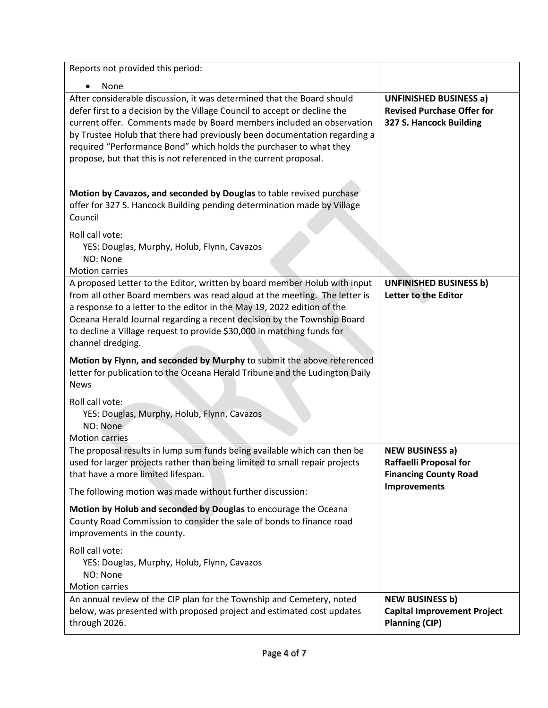| Reports not provided this period:                                                                                                                                                                                                                                                                                                                                                                                                                                                                                            |                                                                                               |
|------------------------------------------------------------------------------------------------------------------------------------------------------------------------------------------------------------------------------------------------------------------------------------------------------------------------------------------------------------------------------------------------------------------------------------------------------------------------------------------------------------------------------|-----------------------------------------------------------------------------------------------|
| None                                                                                                                                                                                                                                                                                                                                                                                                                                                                                                                         |                                                                                               |
| After considerable discussion, it was determined that the Board should<br>defer first to a decision by the Village Council to accept or decline the<br>current offer. Comments made by Board members included an observation<br>by Trustee Holub that there had previously been documentation regarding a<br>required "Performance Bond" which holds the purchaser to what they<br>propose, but that this is not referenced in the current proposal.<br>Motion by Cavazos, and seconded by Douglas to table revised purchase | <b>UNFINISHED BUSINESS a)</b><br><b>Revised Purchase Offer for</b><br>327 S. Hancock Building |
| offer for 327 S. Hancock Building pending determination made by Village<br>Council                                                                                                                                                                                                                                                                                                                                                                                                                                           |                                                                                               |
| Roll call vote:<br>YES: Douglas, Murphy, Holub, Flynn, Cavazos<br>NO: None<br><b>Motion carries</b>                                                                                                                                                                                                                                                                                                                                                                                                                          |                                                                                               |
| A proposed Letter to the Editor, written by board member Holub with input<br>from all other Board members was read aloud at the meeting. The letter is<br>a response to a letter to the editor in the May 19, 2022 edition of the<br>Oceana Herald Journal regarding a recent decision by the Township Board<br>to decline a Village request to provide \$30,000 in matching funds for<br>channel dredging.                                                                                                                  | <b>UNFINISHED BUSINESS b)</b><br>Letter to the Editor                                         |
| Motion by Flynn, and seconded by Murphy to submit the above referenced<br>letter for publication to the Oceana Herald Tribune and the Ludington Daily<br><b>News</b>                                                                                                                                                                                                                                                                                                                                                         |                                                                                               |
| Roll call vote:<br>YES: Douglas, Murphy, Holub, Flynn, Cavazos<br>NO: None<br><b>Motion carries</b>                                                                                                                                                                                                                                                                                                                                                                                                                          |                                                                                               |
| The proposal results in lump sum funds being available which can then be<br>used for larger projects rather than being limited to small repair projects<br>that have a more limited lifespan.                                                                                                                                                                                                                                                                                                                                | <b>NEW BUSINESS a)</b><br><b>Raffaelli Proposal for</b><br><b>Financing County Road</b>       |
| The following motion was made without further discussion:                                                                                                                                                                                                                                                                                                                                                                                                                                                                    | <b>Improvements</b>                                                                           |
| Motion by Holub and seconded by Douglas to encourage the Oceana<br>County Road Commission to consider the sale of bonds to finance road<br>improvements in the county.                                                                                                                                                                                                                                                                                                                                                       |                                                                                               |
| Roll call vote:<br>YES: Douglas, Murphy, Holub, Flynn, Cavazos<br>NO: None<br><b>Motion carries</b>                                                                                                                                                                                                                                                                                                                                                                                                                          |                                                                                               |
| An annual review of the CIP plan for the Township and Cemetery, noted<br>below, was presented with proposed project and estimated cost updates<br>through 2026.                                                                                                                                                                                                                                                                                                                                                              | <b>NEW BUSINESS b)</b><br><b>Capital Improvement Project</b><br><b>Planning (CIP)</b>         |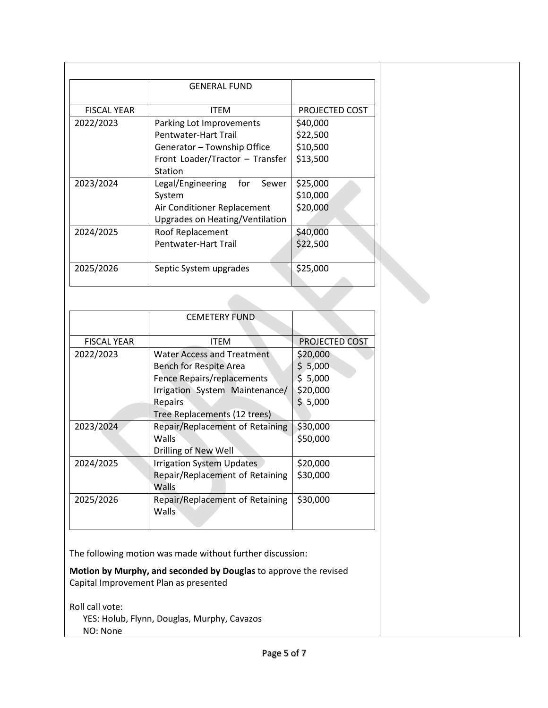|                    | <b>GENERAL FUND</b>               |                |
|--------------------|-----------------------------------|----------------|
|                    |                                   |                |
| <b>FISCAL YEAR</b> | <b>ITEM</b>                       | PROJECTED COST |
| 2022/2023          | Parking Lot Improvements          | \$40,000       |
|                    | Pentwater-Hart Trail              | \$22,500       |
|                    | Generator - Township Office       | \$10,500       |
|                    | Front Loader/Tractor - Transfer   | \$13,500       |
|                    | Station                           |                |
| 2023/2024          | Legal/Engineering<br>for<br>Sewer | \$25,000       |
|                    | System                            | \$10,000       |
|                    | Air Conditioner Replacement       | \$20,000       |
|                    | Upgrades on Heating/Ventilation   |                |
| 2024/2025          | Roof Replacement                  | \$40,000       |
|                    | Pentwater-Hart Trail              | \$22,500       |
|                    |                                   |                |
| 2025/2026          | Septic System upgrades            | \$25,000       |
|                    |                                   |                |

|                    | <b>CEMETERY FUND</b>              |                |
|--------------------|-----------------------------------|----------------|
| <b>FISCAL YEAR</b> | <b>ITEM</b>                       | PROJECTED COST |
| 2022/2023          | <b>Water Access and Treatment</b> | \$20,000       |
|                    | <b>Bench for Respite Area</b>     | \$5,000        |
|                    | Fence Repairs/replacements        | \$5,000        |
|                    | Irrigation System Maintenance/    | \$20,000       |
|                    | Repairs                           | \$5,000        |
|                    | Tree Replacements (12 trees)      |                |
| 2023/2024          | Repair/Replacement of Retaining   | \$30,000       |
|                    | Walls                             | \$50,000       |
|                    | Drilling of New Well              |                |
| 2024/2025          | <b>Irrigation System Updates</b>  | \$20,000       |
|                    | Repair/Replacement of Retaining   | \$30,000       |
|                    | Walls                             |                |
| 2025/2026          | Repair/Replacement of Retaining   | \$30,000       |
|                    | <b>Walls</b>                      |                |
|                    |                                   |                |

The following motion was made without further discussion:

**Motion by Murphy, and seconded by Douglas** to approve the revised Capital Improvement Plan as presented

Roll call vote: YES: Holub, Flynn, Douglas, Murphy, Cavazos NO: None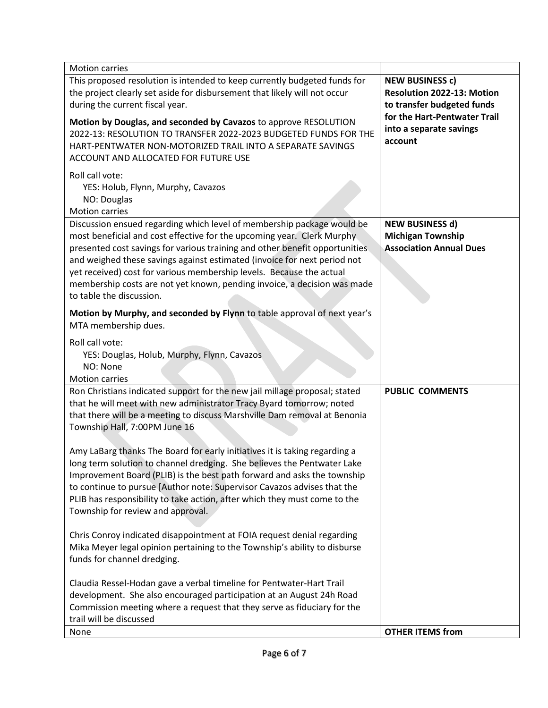| <b>Motion carries</b>                                                                                                                                                                                                                                                                                                                                                                                                                                                                       |                                                                                      |
|---------------------------------------------------------------------------------------------------------------------------------------------------------------------------------------------------------------------------------------------------------------------------------------------------------------------------------------------------------------------------------------------------------------------------------------------------------------------------------------------|--------------------------------------------------------------------------------------|
| This proposed resolution is intended to keep currently budgeted funds for<br>the project clearly set aside for disbursement that likely will not occur<br>during the current fiscal year.                                                                                                                                                                                                                                                                                                   | <b>NEW BUSINESS c)</b><br>Resolution 2022-13: Motion<br>to transfer budgeted funds   |
| Motion by Douglas, and seconded by Cavazos to approve RESOLUTION<br>2022-13: RESOLUTION TO TRANSFER 2022-2023 BUDGETED FUNDS FOR THE<br>HART-PENTWATER NON-MOTORIZED TRAIL INTO A SEPARATE SAVINGS<br>ACCOUNT AND ALLOCATED FOR FUTURE USE                                                                                                                                                                                                                                                  | for the Hart-Pentwater Trail<br>into a separate savings<br>account                   |
| Roll call vote:<br>YES: Holub, Flynn, Murphy, Cavazos<br>NO: Douglas<br><b>Motion carries</b>                                                                                                                                                                                                                                                                                                                                                                                               |                                                                                      |
| Discussion ensued regarding which level of membership package would be<br>most beneficial and cost effective for the upcoming year. Clerk Murphy<br>presented cost savings for various training and other benefit opportunities<br>and weighed these savings against estimated (invoice for next period not<br>yet received) cost for various membership levels. Because the actual<br>membership costs are not yet known, pending invoice, a decision was made<br>to table the discussion. | <b>NEW BUSINESS d)</b><br><b>Michigan Township</b><br><b>Association Annual Dues</b> |
| Motion by Murphy, and seconded by Flynn to table approval of next year's<br>MTA membership dues.                                                                                                                                                                                                                                                                                                                                                                                            |                                                                                      |
| Roll call vote:<br>YES: Douglas, Holub, Murphy, Flynn, Cavazos<br>NO: None<br><b>Motion carries</b>                                                                                                                                                                                                                                                                                                                                                                                         |                                                                                      |
| Ron Christians indicated support for the new jail millage proposal; stated<br>that he will meet with new administrator Tracy Byard tomorrow; noted<br>that there will be a meeting to discuss Marshville Dam removal at Benonia<br>Township Hall, 7:00PM June 16                                                                                                                                                                                                                            | <b>PUBLIC COMMENTS</b>                                                               |
| Amy LaBarg thanks The Board for early initiatives it is taking regarding a<br>long term solution to channel dredging. She believes the Pentwater Lake<br>Improvement Board (PLIB) is the best path forward and asks the township<br>to continue to pursue [Author note: Supervisor Cavazos advises that the<br>PLIB has responsibility to take action, after which they must come to the<br>Township for review and approval.                                                               |                                                                                      |
| Chris Conroy indicated disappointment at FOIA request denial regarding<br>Mika Meyer legal opinion pertaining to the Township's ability to disburse<br>funds for channel dredging.                                                                                                                                                                                                                                                                                                          |                                                                                      |
| Claudia Ressel-Hodan gave a verbal timeline for Pentwater-Hart Trail<br>development. She also encouraged participation at an August 24h Road<br>Commission meeting where a request that they serve as fiduciary for the<br>trail will be discussed                                                                                                                                                                                                                                          |                                                                                      |
| None                                                                                                                                                                                                                                                                                                                                                                                                                                                                                        | <b>OTHER ITEMS from</b>                                                              |